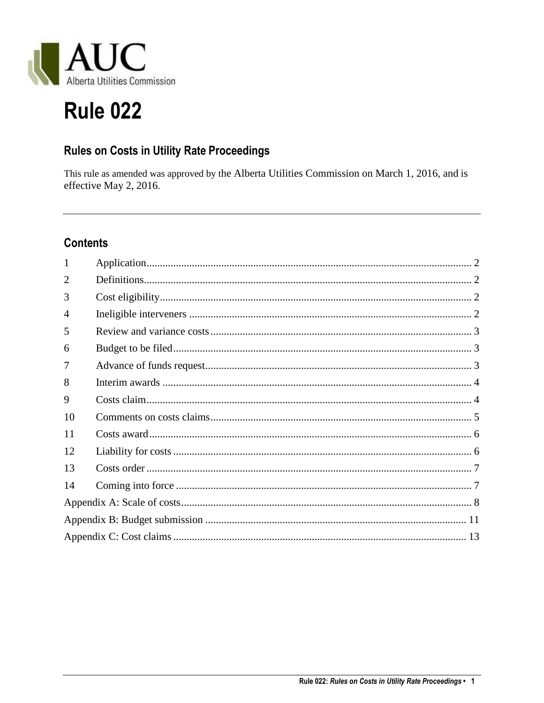

# **Rule 022**

# Rules on Costs in Utility Rate Proceedings

This rule as amended was approved by the Alberta Utilities Commission on March 1, 2016, and is effective May 2, 2016.

# **Contents**

| 1              |  |  |
|----------------|--|--|
| $\overline{2}$ |  |  |
| 3              |  |  |
| $\overline{4}$ |  |  |
| 5              |  |  |
| 6              |  |  |
| 7              |  |  |
| 8              |  |  |
| 9              |  |  |
| 10             |  |  |
| 11             |  |  |
| 12             |  |  |
| 13             |  |  |
| 14             |  |  |
|                |  |  |
|                |  |  |
|                |  |  |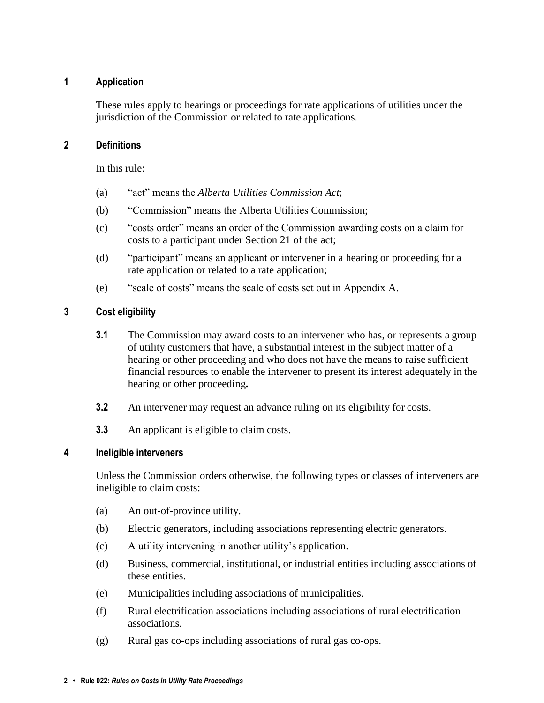# <span id="page-1-0"></span>**1 Application**

These rules apply to hearings or proceedings for rate applications of utilities under the jurisdiction of the Commission or related to rate applications.

### <span id="page-1-1"></span>**2 Definitions**

In this rule:

- (a) "act" means the *Alberta Utilities Commission Act*;
- (b) "Commission" means the Alberta Utilities Commission;
- (c) "costs order" means an order of the Commission awarding costs on a claim for costs to a participant under Section 21 of the act;
- (d) "participant" means an applicant or intervener in a hearing or proceeding for a rate application or related to a rate application;
- (e) "scale of costs" means the scale of costs set out in Appendix A.

# <span id="page-1-2"></span>**3 Cost eligibility**

- **3.1** The Commission may award costs to an intervener who has, or represents a group of utility customers that have, a substantial interest in the subject matter of a hearing or other proceeding and who does not have the means to raise sufficient financial resources to enable the intervener to present its interest adequately in the hearing or other proceeding**.**
- **3.2** An intervener may request an advance ruling on its eligibility for costs.
- **3.3** An applicant is eligible to claim costs.

#### <span id="page-1-3"></span>**4 Ineligible interveners**

Unless the Commission orders otherwise, the following types or classes of interveners are ineligible to claim costs:

- (a) An out-of-province utility.
- (b) Electric generators, including associations representing electric generators.
- (c) A utility intervening in another utility's application.
- (d) Business, commercial, institutional, or industrial entities including associations of these entities.
- (e) Municipalities including associations of municipalities.
- (f) Rural electrification associations including associations of rural electrification associations.
- (g) Rural gas co-ops including associations of rural gas co-ops.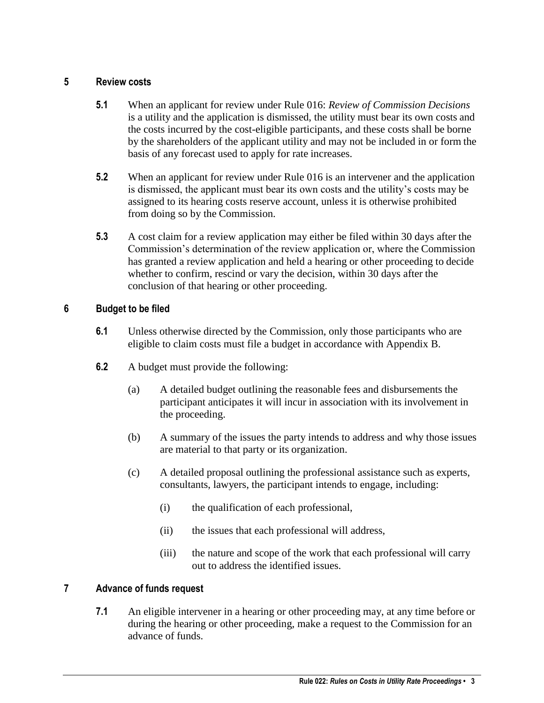#### <span id="page-2-0"></span>**5 Review costs**

- **5.1** When an applicant for review under Rule 016: *Review of Commission Decisions*  is a utility and the application is dismissed, the utility must bear its own costs and the costs incurred by the cost-eligible participants, and these costs shall be borne by the shareholders of the applicant utility and may not be included in or form the basis of any forecast used to apply for rate increases.
- **5.2** When an applicant for review under Rule 016 is an intervener and the application is dismissed, the applicant must bear its own costs and the utility's costs may be assigned to its hearing costs reserve account, unless it is otherwise prohibited from doing so by the Commission.
- **5.3** A cost claim for a review application may either be filed within 30 days after the Commission's determination of the review application or, where the Commission has granted a review application and held a hearing or other proceeding to decide whether to confirm, rescind or vary the decision, within 30 days after the conclusion of that hearing or other proceeding.

# <span id="page-2-1"></span>**6 Budget to be filed**

- **6.1** Unless otherwise directed by the Commission, only those participants who are eligible to claim costs must file a budget in accordance with Appendix B.
- **6.2** A budget must provide the following:
	- (a) A detailed budget outlining the reasonable fees and disbursements the participant anticipates it will incur in association with its involvement in the proceeding.
	- (b) A summary of the issues the party intends to address and why those issues are material to that party or its organization.
	- (c) A detailed proposal outlining the professional assistance such as experts, consultants, lawyers, the participant intends to engage, including:
		- (i) the qualification of each professional,
		- (ii) the issues that each professional will address,
		- (iii) the nature and scope of the work that each professional will carry out to address the identified issues.

# <span id="page-2-2"></span>**7 Advance of funds request**

**7.1** An eligible intervener in a hearing or other proceeding may, at any time before or during the hearing or other proceeding, make a request to the Commission for an advance of funds.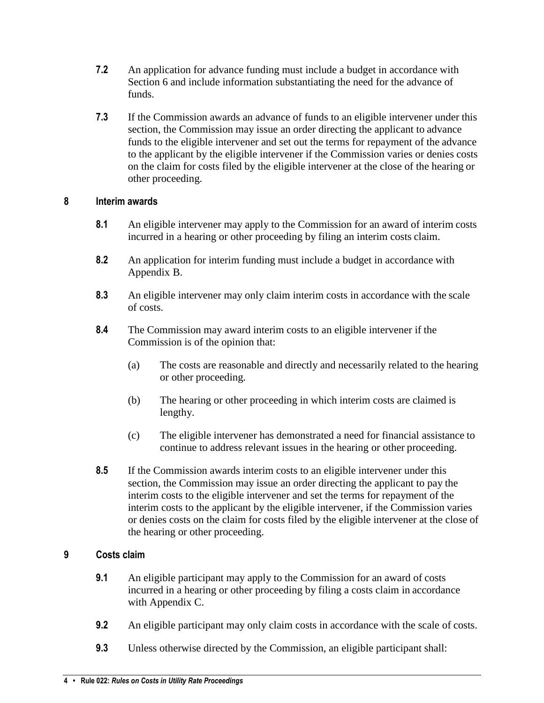- **7.2** An application for advance funding must include a budget in accordance with Section 6 and include information substantiating the need for the advance of funds.
- **7.3** If the Commission awards an advance of funds to an eligible intervener under this section, the Commission may issue an order directing the applicant to advance funds to the eligible intervener and set out the terms for repayment of the advance to the applicant by the eligible intervener if the Commission varies or denies costs on the claim for costs filed by the eligible intervener at the close of the hearing or other proceeding.

# <span id="page-3-0"></span>**8 Interim awards**

- **8.1** An eligible intervener may apply to the Commission for an award of interim costs incurred in a hearing or other proceeding by filing an interim costs claim.
- **8.2** An application for interim funding must include a budget in accordance with Appendix B.
- **8.3** An eligible intervener may only claim interim costs in accordance with the scale of costs.
- **8.4** The Commission may award interim costs to an eligible intervener if the Commission is of the opinion that:
	- (a) The costs are reasonable and directly and necessarily related to the hearing or other proceeding.
	- (b) The hearing or other proceeding in which interim costs are claimed is lengthy.
	- (c) The eligible intervener has demonstrated a need for financial assistance to continue to address relevant issues in the hearing or other proceeding.
- **8.5** If the Commission awards interim costs to an eligible intervener under this section, the Commission may issue an order directing the applicant to pay the interim costs to the eligible intervener and set the terms for repayment of the interim costs to the applicant by the eligible intervener, if the Commission varies or denies costs on the claim for costs filed by the eligible intervener at the close of the hearing or other proceeding.

# <span id="page-3-1"></span>**9 Costs claim**

- **9.1** An eligible participant may apply to the Commission for an award of costs incurred in a hearing or other proceeding by filing a costs claim in accordance with Appendix C.
- **9.2** An eligible participant may only claim costs in accordance with the scale of costs.
- **9.3** Unless otherwise directed by the Commission, an eligible participant shall: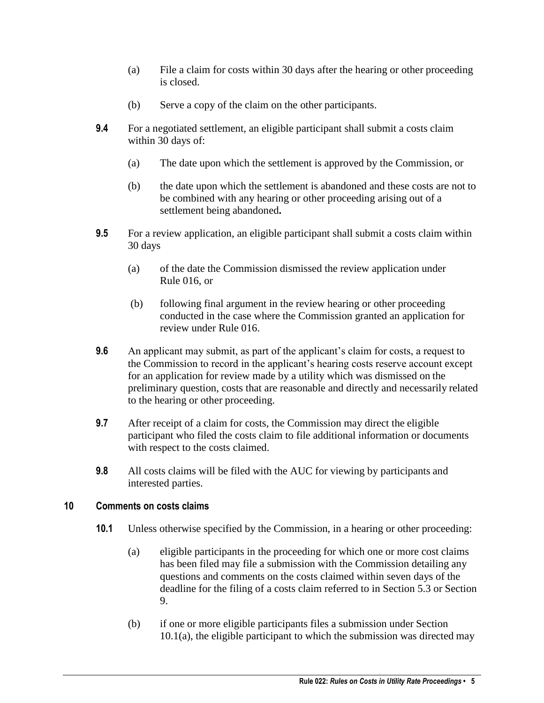- (a) File a claim for costs within 30 days after the hearing or other proceeding is closed.
- (b) Serve a copy of the claim on the other participants.
- **9.4** For a negotiated settlement, an eligible participant shall submit a costs claim within 30 days of:
	- (a) The date upon which the settlement is approved by the Commission, or
	- (b) the date upon which the settlement is abandoned and these costs are not to be combined with any hearing or other proceeding arising out of a settlement being abandoned**.**
- **9.5** For a review application, an eligible participant shall submit a costs claim within 30 days
	- (a) of the date the Commission dismissed the review application under Rule 016, or
	- (b) following final argument in the review hearing or other proceeding conducted in the case where the Commission granted an application for review under Rule 016.
- **9.6** An applicant may submit, as part of the applicant's claim for costs, a request to the Commission to record in the applicant's hearing costs reserve account except for an application for review made by a utility which was dismissed on the preliminary question, costs that are reasonable and directly and necessarily related to the hearing or other proceeding.
- **9.7** After receipt of a claim for costs, the Commission may direct the eligible participant who filed the costs claim to file additional information or documents with respect to the costs claimed.
- **9.8** All costs claims will be filed with the AUC for viewing by participants and interested parties.

#### <span id="page-4-0"></span>**10 Comments on costs claims**

- **10.1** Unless otherwise specified by the Commission, in a hearing or other proceeding:
	- (a) eligible participants in the proceeding for which one or more cost claims has been filed may file a submission with the Commission detailing any questions and comments on the costs claimed within seven days of the deadline for the filing of a costs claim referred to in Section 5.3 or Section 9.
	- (b) if one or more eligible participants files a submission under Section 10.1(a), the eligible participant to which the submission was directed may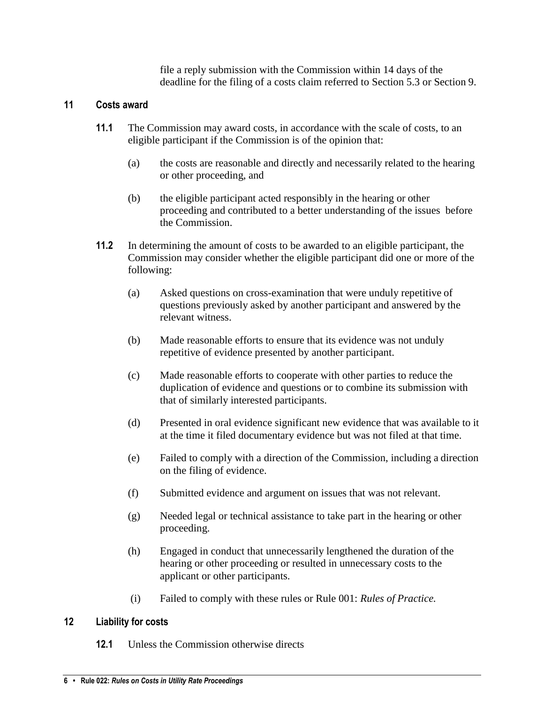file a reply submission with the Commission within 14 days of the deadline for the filing of a costs claim referred to Section 5.3 or Section 9.

# <span id="page-5-0"></span>**11 Costs award**

- **11.1** The Commission may award costs, in accordance with the scale of costs, to an eligible participant if the Commission is of the opinion that:
	- (a) the costs are reasonable and directly and necessarily related to the hearing or other proceeding, and
	- (b) the eligible participant acted responsibly in the hearing or other proceeding and contributed to a better understanding of the issues before the Commission.
- **11.2** In determining the amount of costs to be awarded to an eligible participant, the Commission may consider whether the eligible participant did one or more of the following:
	- (a) Asked questions on cross-examination that were unduly repetitive of questions previously asked by another participant and answered by the relevant witness.
	- (b) Made reasonable efforts to ensure that its evidence was not unduly repetitive of evidence presented by another participant.
	- (c) Made reasonable efforts to cooperate with other parties to reduce the duplication of evidence and questions or to combine its submission with that of similarly interested participants.
	- (d) Presented in oral evidence significant new evidence that was available to it at the time it filed documentary evidence but was not filed at that time.
	- (e) Failed to comply with a direction of the Commission, including a direction on the filing of evidence.
	- (f) Submitted evidence and argument on issues that was not relevant.
	- (g) Needed legal or technical assistance to take part in the hearing or other proceeding.
	- (h) Engaged in conduct that unnecessarily lengthened the duration of the hearing or other proceeding or resulted in unnecessary costs to the applicant or other participants.
	- (i) Failed to comply with these rules or Rule 001: *Rules of Practice.*

#### <span id="page-5-1"></span>**12 Liability for costs**

**12.1** Unless the Commission otherwise directs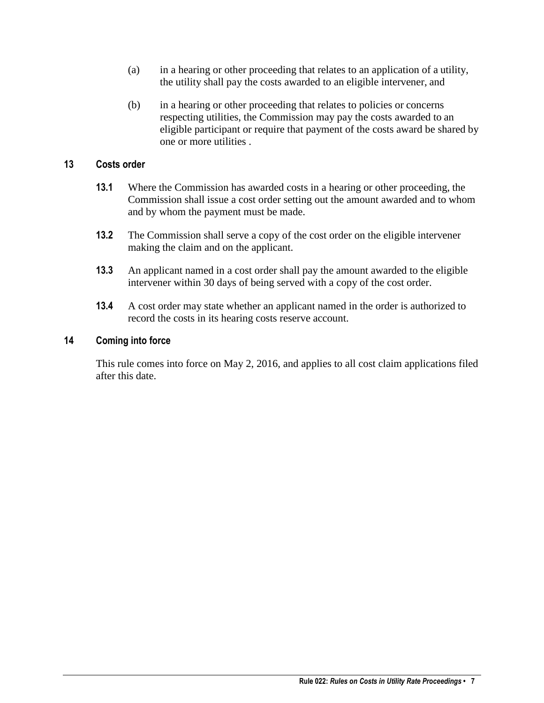- (a) in a hearing or other proceeding that relates to an application of a utility, the utility shall pay the costs awarded to an eligible intervener, and
- (b) in a hearing or other proceeding that relates to policies or concerns respecting utilities, the Commission may pay the costs awarded to an eligible participant or require that payment of the costs award be shared by one or more utilities .

#### <span id="page-6-0"></span>**13 Costs order**

- **13.1** Where the Commission has awarded costs in a hearing or other proceeding, the Commission shall issue a cost order setting out the amount awarded and to whom and by whom the payment must be made.
- **13.2** The Commission shall serve a copy of the cost order on the eligible intervener making the claim and on the applicant.
- **13.3** An applicant named in a cost order shall pay the amount awarded to the eligible intervener within 30 days of being served with a copy of the cost order.
- **13.4** A cost order may state whether an applicant named in the order is authorized to record the costs in its hearing costs reserve account.

#### <span id="page-6-1"></span>**14 Coming into force**

This rule comes into force on May 2, 2016, and applies to all cost claim applications filed after this date.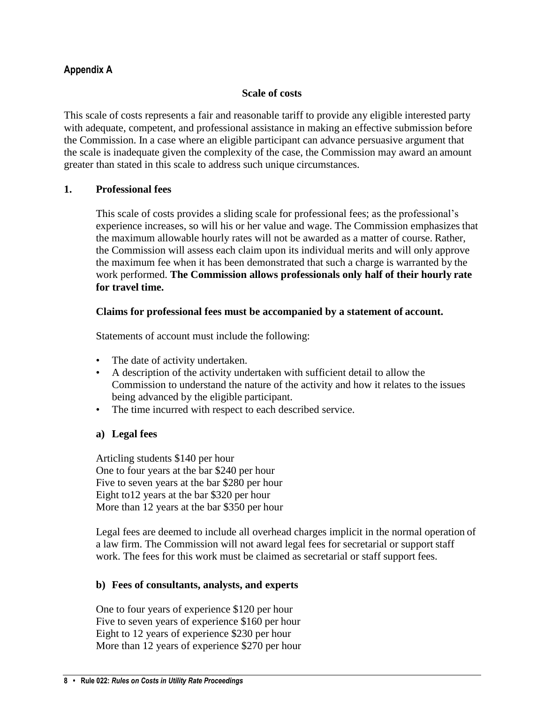# <span id="page-7-0"></span>**Appendix A**

#### **Scale of costs**

This scale of costs represents a fair and reasonable tariff to provide any eligible interested party with adequate, competent, and professional assistance in making an effective submission before the Commission. In a case where an eligible participant can advance persuasive argument that the scale is inadequate given the complexity of the case, the Commission may award an amount greater than stated in this scale to address such unique circumstances.

#### **1. Professional fees**

This scale of costs provides a sliding scale for professional fees; as the professional's experience increases, so will his or her value and wage. The Commission emphasizes that the maximum allowable hourly rates will not be awarded as a matter of course. Rather, the Commission will assess each claim upon its individual merits and will only approve the maximum fee when it has been demonstrated that such a charge is warranted by the work performed. **The Commission allows professionals only half of their hourly rate for travel time.**

#### **Claims for professional fees must be accompanied by a statement of account.**

Statements of account must include the following:

- The date of activity undertaken.
- A description of the activity undertaken with sufficient detail to allow the Commission to understand the nature of the activity and how it relates to the issues being advanced by the eligible participant.
- The time incurred with respect to each described service.

#### **a) Legal fees**

Articling students \$140 per hour One to four years at the bar \$240 per hour Five to seven years at the bar \$280 per hour Eight to12 years at the bar \$320 per hour More than 12 years at the bar \$350 per hour

Legal fees are deemed to include all overhead charges implicit in the normal operation of a law firm. The Commission will not award legal fees for secretarial or support staff work. The fees for this work must be claimed as secretarial or staff support fees.

#### **b) Fees of consultants, analysts, and experts**

One to four years of experience \$120 per hour Five to seven years of experience \$160 per hour Eight to 12 years of experience \$230 per hour More than 12 years of experience \$270 per hour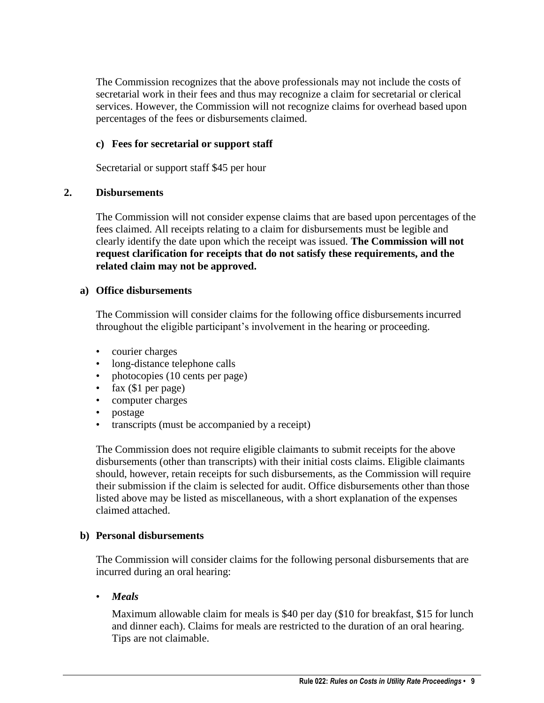The Commission recognizes that the above professionals may not include the costs of secretarial work in their fees and thus may recognize a claim for secretarial or clerical services. However, the Commission will not recognize claims for overhead based upon percentages of the fees or disbursements claimed.

#### **c) Fees for secretarial or support staff**

Secretarial or support staff \$45 per hour

#### **2. Disbursements**

The Commission will not consider expense claims that are based upon percentages of the fees claimed. All receipts relating to a claim for disbursements must be legible and clearly identify the date upon which the receipt was issued. **The Commission will not request clarification for receipts that do not satisfy these requirements, and the related claim may not be approved.**

#### **a) Office disbursements**

The Commission will consider claims for the following office disbursements incurred throughout the eligible participant's involvement in the hearing or proceeding.

- courier charges
- long-distance telephone calls
- photocopies (10 cents per page)
- fax (\$1 per page)
- computer charges
- postage
- transcripts (must be accompanied by a receipt)

The Commission does not require eligible claimants to submit receipts for the above disbursements (other than transcripts) with their initial costs claims. Eligible claimants should, however, retain receipts for such disbursements, as the Commission will require their submission if the claim is selected for audit. Office disbursements other than those listed above may be listed as miscellaneous, with a short explanation of the expenses claimed attached.

#### **b) Personal disbursements**

The Commission will consider claims for the following personal disbursements that are incurred during an oral hearing:

• *Meals*

Maximum allowable claim for meals is \$40 per day (\$10 for breakfast, \$15 for lunch and dinner each). Claims for meals are restricted to the duration of an oral hearing. Tips are not claimable.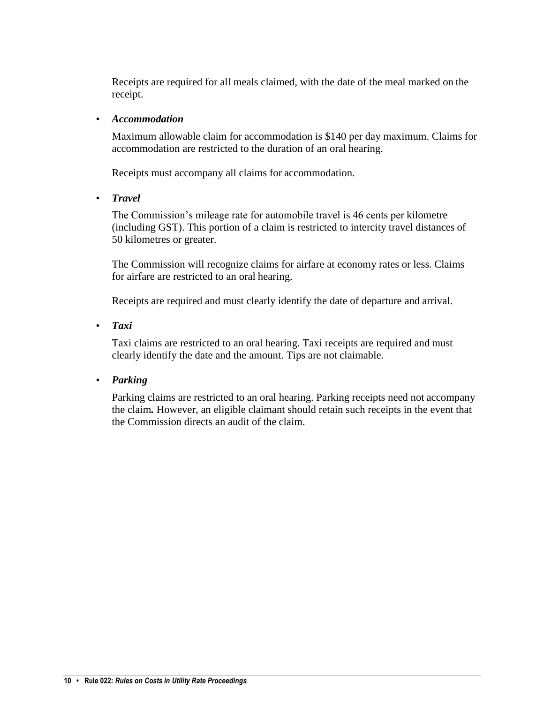Receipts are required for all meals claimed, with the date of the meal marked on the receipt.

#### • *Accommodation*

Maximum allowable claim for accommodation is \$140 per day maximum. Claims for accommodation are restricted to the duration of an oral hearing.

Receipts must accompany all claims for accommodation.

• *Travel*

The Commission's mileage rate for automobile travel is 46 cents per kilometre (including GST). This portion of a claim is restricted to intercity travel distances of 50 kilometres or greater.

The Commission will recognize claims for airfare at economy rates or less. Claims for airfare are restricted to an oral hearing.

Receipts are required and must clearly identify the date of departure and arrival.

• *Taxi*

Taxi claims are restricted to an oral hearing. Taxi receipts are required and must clearly identify the date and the amount. Tips are not claimable.

# • *Parking*

Parking claims are restricted to an oral hearing. Parking receipts need not accompany the claim*.* However, an eligible claimant should retain such receipts in the event that the Commission directs an audit of the claim.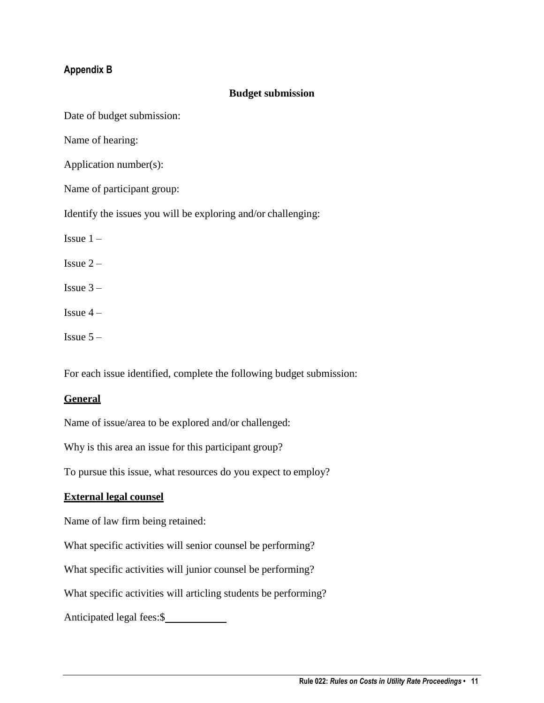# <span id="page-10-0"></span>**Appendix B**

#### **Budget submission**

Date of budget submission:

Name of hearing:

Application number(s):

Name of participant group:

Identify the issues you will be exploring and/or challenging:

Issue  $1 -$ 

Issue  $2 -$ 

- Issue  $3 -$
- Issue  $4-$

Issue  $5 -$ 

For each issue identified, complete the following budget submission:

#### **General**

Name of issue/area to be explored and/or challenged:

Why is this area an issue for this participant group?

To pursue this issue, what resources do you expect to employ?

#### **External legal counsel**

Name of law firm being retained:

What specific activities will senior counsel be performing?

What specific activities will junior counsel be performing?

What specific activities will articling students be performing?

Anticipated legal fees:\$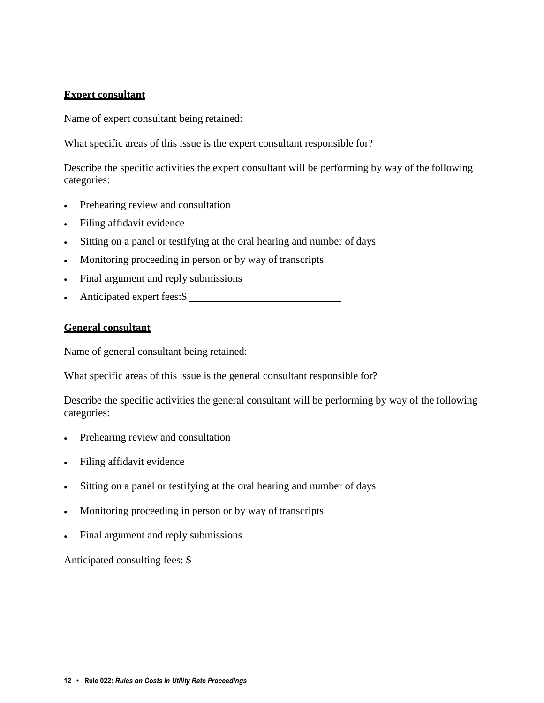#### **Expert consultant**

Name of expert consultant being retained:

What specific areas of this issue is the expert consultant responsible for?

Describe the specific activities the expert consultant will be performing by way of the following categories:

- Prehearing review and consultation
- Filing affidavit evidence
- Sitting on a panel or testifying at the oral hearing and number of days
- Monitoring proceeding in person or by way of transcripts
- Final argument and reply submissions
- Anticipated expert fees: \$

#### **General consultant**

Name of general consultant being retained:

What specific areas of this issue is the general consultant responsible for?

Describe the specific activities the general consultant will be performing by way of the following categories:

- Prehearing review and consultation
- Filing affidavit evidence
- Sitting on a panel or testifying at the oral hearing and number of days
- Monitoring proceeding in person or by way of transcripts
- Final argument and reply submissions

Anticipated consulting fees: \$